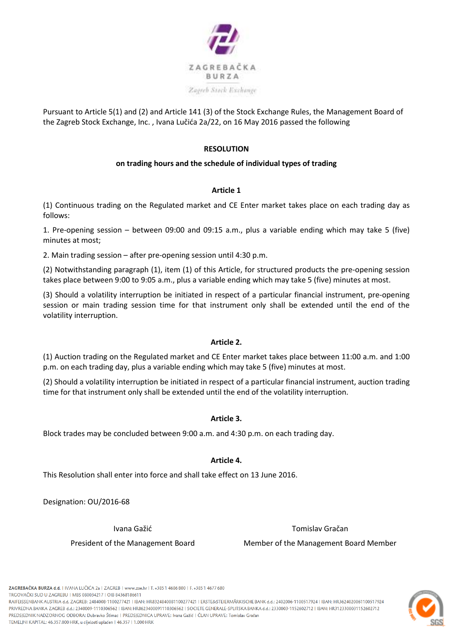

Pursuant to Article 5(1) and (2) and Article 141 (3) of the Stock Exchange Rules, the Management Board of the Zagreb Stock Exchange, Inc. , Ivana Lučića 2a/22, on 16 May 2016 passed the following

# **RESOLUTION**

## **on trading hours and the schedule of individual types of trading**

## **Article 1**

(1) Continuous trading on the Regulated market and CE Enter market takes place on each trading day as follows:

1. Pre-opening session – between 09:00 and 09:15 a.m., plus a variable ending which may take 5 (five) minutes at most;

2. Main trading session – after pre-opening session until 4:30 p.m.

(2) Notwithstanding paragraph (1), item (1) of this Article, for structured products the pre-opening session takes place between 9:00 to 9:05 a.m., plus a variable ending which may take 5 (five) minutes at most.

(3) Should a volatility interruption be initiated in respect of a particular financial instrument, pre-opening session or main trading session time for that instrument only shall be extended until the end of the volatility interruption.

### **Article 2.**

(1) Auction trading on the Regulated market and CE Enter market takes place between 11:00 a.m. and 1:00 p.m. on each trading day, plus a variable ending which may take 5 (five) minutes at most.

(2) Should a volatility interruption be initiated in respect of a particular financial instrument, auction trading time for that instrument only shall be extended until the end of the volatility interruption.

### **Article 3.**

Block trades may be concluded between 9:00 a.m. and 4:30 p.m. on each trading day.

### **Article 4.**

This Resolution shall enter into force and shall take effect on 13 June 2016.

Designation: OU/2016-68

Ivana Gažić **Tomislav Gračan** 

President of the Management Board Member of the Management Board Member



ZAGREBAČKA BURZA d.d. | IVANA I UČIĆA 2a | ZAGREB | www.zse.hr | T. +385 1 4686 800 | E. +385 1 4677 680 TRGOVAČKI SUD U ZAGREBU I MBS 080034217 I OIB 84368186611

RAIFEISSENBANK AUSTRIA d.d. ZAGREB: 2484008-1100277421 | IBAN: HR8324840081100277421 | ERSTE&STEIERMÄRKISCHE BANK d.d.: 2402006-1100517924 | IBAN: HR3624020061100517924 PRIVREDNA BANKA ZAGREB d.d.: 2340009-1110306562 | IBAN: HR8623400091110306562 | SOCIETE GENERALE-SPLITSKA BANKA d.d.: 2330003-1152602712 | IBAN: HR3123300031152602712 PREDSIEDNIK NADZORNOG ODBORA: Dubrayko Štímac | PREDSIEDNICA UPRAVE: Ivana Gažić | ČLAN UPRAVE: Tomislav Gračan